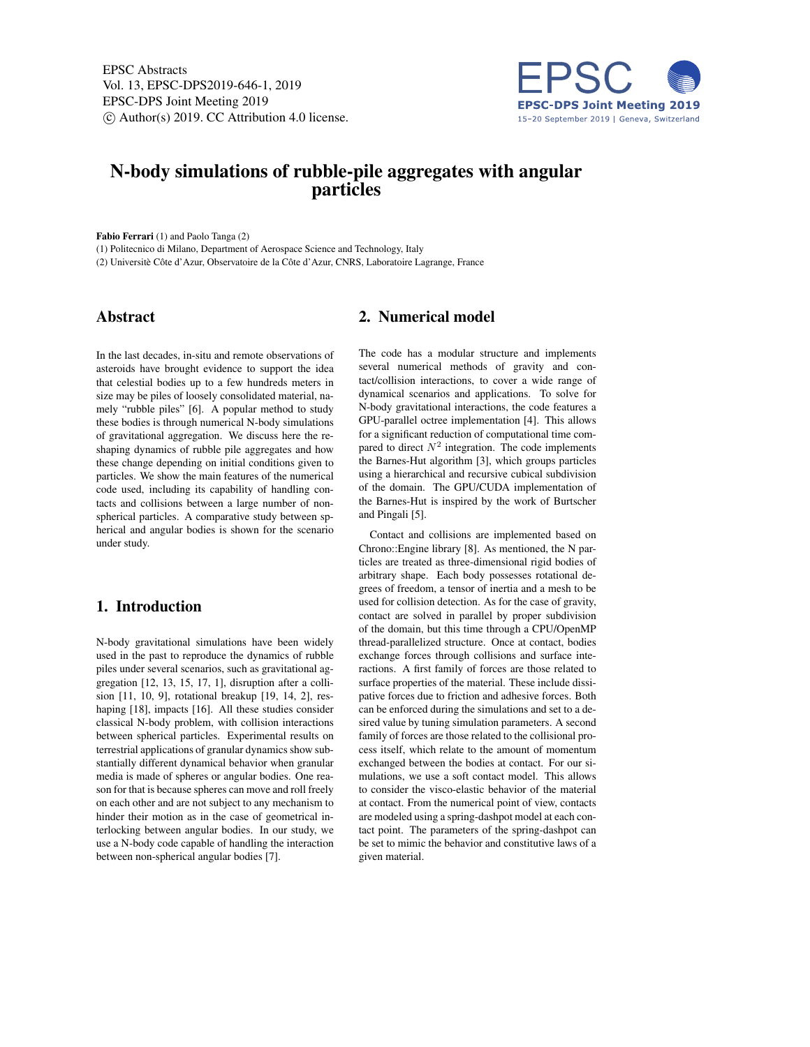EPSC Abstracts Vol. 13, EPSC-DPS2019-646-1, 2019 EPSC-DPS Joint Meeting 2019  $\circ$  Author(s) 2019. CC Attribution 4.0 license.



# N-body simulations of rubble-pile aggregates with angular particles

Fabio Ferrari (1) and Paolo Tanga (2)

(1) Politecnico di Milano, Department of Aerospace Science and Technology, Italy (2) Universitè Côte d'Azur, Observatoire de la Côte d'Azur, CNRS, Laboratoire Lagrange, France

### Abstract

In the last decades, in-situ and remote observations of asteroids have brought evidence to support the idea that celestial bodies up to a few hundreds meters in size may be piles of loosely consolidated material, namely "rubble piles" [6]. A popular method to study these bodies is through numerical N-body simulations of gravitational aggregation. We discuss here the reshaping dynamics of rubble pile aggregates and how these change depending on initial conditions given to particles. We show the main features of the numerical code used, including its capability of handling contacts and collisions between a large number of nonspherical particles. A comparative study between spherical and angular bodies is shown for the scenario under study.

# 1. Introduction

N-body gravitational simulations have been widely used in the past to reproduce the dynamics of rubble piles under several scenarios, such as gravitational aggregation [12, 13, 15, 17, 1], disruption after a collision [11, 10, 9], rotational breakup [19, 14, 2], reshaping [18], impacts [16]. All these studies consider classical N-body problem, with collision interactions between spherical particles. Experimental results on terrestrial applications of granular dynamics show substantially different dynamical behavior when granular media is made of spheres or angular bodies. One reason for that is because spheres can move and roll freely on each other and are not subject to any mechanism to hinder their motion as in the case of geometrical interlocking between angular bodies. In our study, we use a N-body code capable of handling the interaction between non-spherical angular bodies [7].

# 2. Numerical model

The code has a modular structure and implements several numerical methods of gravity and contact/collision interactions, to cover a wide range of dynamical scenarios and applications. To solve for N-body gravitational interactions, the code features a GPU-parallel octree implementation [4]. This allows for a significant reduction of computational time compared to direct  $N^2$  integration. The code implements the Barnes-Hut algorithm [3], which groups particles using a hierarchical and recursive cubical subdivision of the domain. The GPU/CUDA implementation of the Barnes-Hut is inspired by the work of Burtscher and Pingali [5].

Contact and collisions are implemented based on Chrono::Engine library [8]. As mentioned, the N particles are treated as three-dimensional rigid bodies of arbitrary shape. Each body possesses rotational degrees of freedom, a tensor of inertia and a mesh to be used for collision detection. As for the case of gravity, contact are solved in parallel by proper subdivision of the domain, but this time through a CPU/OpenMP thread-parallelized structure. Once at contact, bodies exchange forces through collisions and surface interactions. A first family of forces are those related to surface properties of the material. These include dissipative forces due to friction and adhesive forces. Both can be enforced during the simulations and set to a desired value by tuning simulation parameters. A second family of forces are those related to the collisional process itself, which relate to the amount of momentum exchanged between the bodies at contact. For our simulations, we use a soft contact model. This allows to consider the visco-elastic behavior of the material at contact. From the numerical point of view, contacts are modeled using a spring-dashpot model at each contact point. The parameters of the spring-dashpot can be set to mimic the behavior and constitutive laws of a given material.